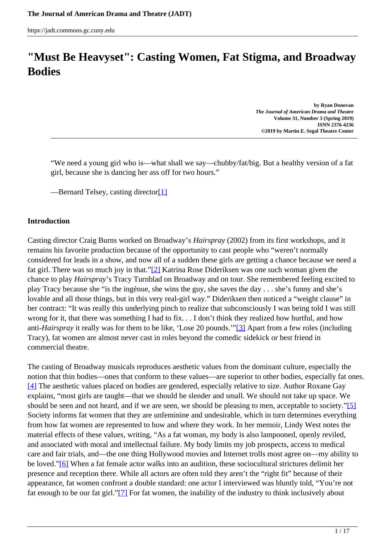# <span id="page-0-0"></span>**"Must Be Heavyset": Casting Women, Fat Stigma, and Broadway Bodies**

**by Ryan Donovan** *The Journal of American Drama and Theatre* **Volume 31, Number 3 (Spring 2019) ISNN 2376-4236 ©2019 by Martin E. Segal Theatre Center**

"We need a young girl who is—what shall we say—chubby/fat/big. But a healthy version of a fat girl, because she is dancing her ass off for two hours."

—Bernard Telsey, casting directo[r\[1\]](#page-0-0)

#### **Introduction**

Casting director Craig Burns worked on Broadway's *Hairspray* (2002) from its first workshops, and it remains his favorite production because of the opportunity to cast people who "weren't normally considered for leads in a show, and now all of a sudden these girls are getting a chance because we need a fat girl. There was so much joy in that."[2] Katrina Rose Dideriksen was one such woman given the chance to play *Hairspray*'s Tracy Turnblad on Broadway and on tour. She remembered feeling excited to play Tracy because she "is the ingénue, she wins the guy, she saves the day . . . she's funny and she's lovable and all those things, but in this very real-girl way." Dideriksen then noticed a "weight clause" in her contract: "It was really this underlying pinch to realize that subconsciously I was being told I was still wrong for it, that there was something I had to fix. . . I don't think they realized how hurtful, and how anti-*Hairspray* it really was for them to be like, 'Lose 20 pounds.'"[3] Apart from a few roles (including Tracy), fat women are almost never cast in roles beyond the comedic sidekick or best friend in commercial theatre.

The casting of Broadway musicals reproduces aesthetic values from the dominant culture, especially the notion that thin bodies—ones that conform to these values—are superior to other bodies, especially fat ones. [4] The aesthetic values placed on bodies are gendered, especially relative to size. Author Roxane Gay explains, "most girls are taught—that we should be slender and small. We should not take up space. We should be seen and not heard, and if we are seen, we should be pleasing to men, acceptable to society."[5] Society informs fat women that they are unfeminine and undesirable, which in turn determines everything from how fat women are represented to how and where they work. In her memoir, Lindy West notes the material effects of these values, writing, "As a fat woman, my body is also lampooned, openly reviled, and associated with moral and intellectual failure. My body limits my job prospects, access to medical care and fair trials, and—the one thing Hollywood movies and Internet trolls most agree on—my ability to be loved."[6] When a fat female actor walks into an audition, these sociocultural strictures delimit her presence and reception there. While all actors are often told they aren't the "right fit" because of their appearance, fat women confront a double standard: one actor I interviewed was bluntly told, "You're not fat enough to be our fat girl."[7] For fat women, the inability of the industry to think inclusively about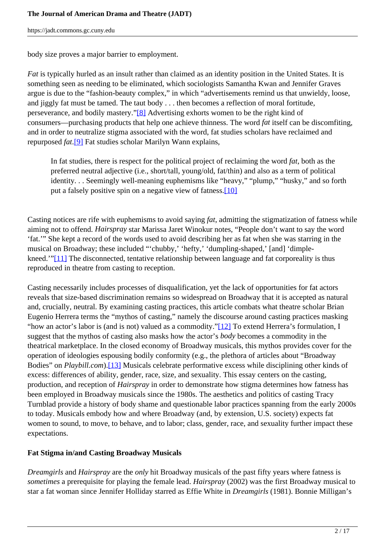body size proves a major barrier to employment.

*Fat* is typically hurled as an insult rather than claimed as an identity position in the United States. It is something seen as needing to be eliminated, which sociologists Samantha Kwan and Jennifer Graves argue is due to the "fashion-beauty complex," in which "advertisements remind us that unwieldy, loose, and jiggly fat must be tamed. The taut body . . . then becomes a reflection of moral fortitude, perseverance, and bodily mastery."[8] Advertising exhorts women to be the right kind of consumers—purchasing products that help one achieve thinness. The word *fat* itself can be discomfiting, and in order to neutralize stigma associated with the word, fat studies scholars have reclaimed and repurposed *fat*.[9] Fat studies scholar Marilyn Wann explains,

In fat studies, there is respect for the political project of reclaiming the word *fat*, both as the preferred neutral adjective (i.e., short/tall, young/old, fat/thin) and also as a term of political identity. . . Seemingly well-meaning euphemisms like "heavy," "plump," "husky," and so forth put a falsely positive spin on a negative view of fatness.[10]

Casting notices are rife with euphemisms to avoid saying *fat*, admitting the stigmatization of fatness while aiming not to offend. *Hairspray* star Marissa Jaret Winokur notes, "People don't want to say the word 'fat.'" She kept a record of the words used to avoid describing her as fat when she was starring in the musical on Broadway; these included "'chubby,' 'hefty,' 'dumpling-shaped,' [and] 'dimplekneed.'"[11] The disconnected, tentative relationship between language and fat corporeality is thus reproduced in theatre from casting to reception.

Casting necessarily includes processes of disqualification, yet the lack of opportunities for fat actors reveals that size-based discrimination remains so widespread on Broadway that it is accepted as natural and, crucially, neutral. By examining casting practices, this article combats what theatre scholar Brian Eugenio Herrera terms the "mythos of casting," namely the discourse around casting practices masking "how an actor's labor is (and is not) valued as a commodity."[12] To extend Herrera's formulation, I suggest that the mythos of casting also masks how the actor's *body* becomes a commodity in the theatrical marketplace. In the closed economy of Broadway musicals, this mythos provides cover for the operation of ideologies espousing bodily conformity (e.g., the plethora of articles about "Broadway Bodies" on *Playbill.com*).[13] Musicals celebrate performative excess while disciplining other kinds of excess: differences of ability, gender, race, size, and sexuality. This essay centers on the casting, production, and reception of *Hairspray* in order to demonstrate how stigma determines how fatness has been employed in Broadway musicals since the 1980s. The aesthetics and politics of casting Tracy Turnblad provide a history of body shame and questionable labor practices spanning from the early 2000s to today. Musicals embody how and where Broadway (and, by extension, U.S. society) expects fat women to sound, to move, to behave, and to labor; class, gender, race, and sexuality further impact these expectations.

## **Fat Stigma in/and Casting Broadway Musicals**

*Dreamgirls* and *Hairspray* are the *only* hit Broadway musicals of the past fifty years where fatness is *sometimes* a prerequisite for playing the female lead. *Hairspray* (2002) was the first Broadway musical to star a fat woman since Jennifer Holliday starred as Effie White in *Dreamgirls* (1981). Bonnie Milligan's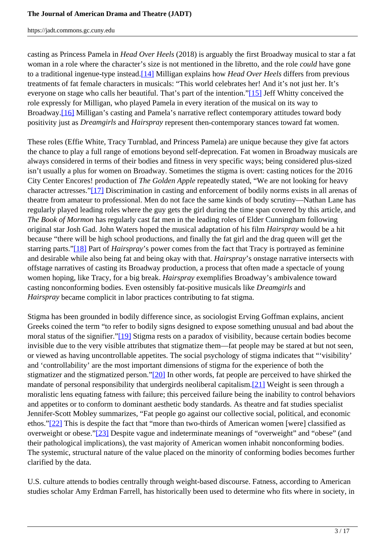casting as Princess Pamela in *Head Over Heels* (2018) is arguably the first Broadway musical to star a fat woman in a role where the character's size is not mentioned in the libretto, and the role *could* have gone to a traditional ingenue-type instead.[14] Milligan explains how *Head Over Heels* differs from previous treatments of fat female characters in musicals: "This world celebrates her! And it's not just her. It's everyone on stage who calls her beautiful. That's part of the intention."[15] Jeff Whitty conceived the role expressly for Milligan, who played Pamela in every iteration of the musical on its way to Broadway.[16] Milligan's casting and Pamela's narrative reflect contemporary attitudes toward body positivity just as *Dreamgirls* and *Hairspray* represent then-contemporary stances toward fat women.

These roles (Effie White, Tracy Turnblad, and Princess Pamela) are unique because they give fat actors the chance to play a full range of emotions beyond self-deprecation. Fat women in Broadway musicals are always considered in terms of their bodies and fitness in very specific ways; being considered plus-sized isn't usually a plus for women on Broadway. Sometimes the stigma is overt: casting notices for the 2016 City Center Encores! production of *The Golden Apple* repeatedly stated, "We are not looking for heavy character actresses."[17] Discrimination in casting and enforcement of bodily norms exists in all arenas of theatre from amateur to professional. Men do not face the same kinds of body scrutiny—Nathan Lane has regularly played leading roles where the guy gets the girl during the time span covered by this article, and *The Book of Mormon* has regularly cast fat men in the leading roles of Elder Cunningham following original star Josh Gad. John Waters hoped the musical adaptation of his film *Hairspray* would be a hit because "there will be high school productions, and finally the fat girl and the drag queen will get the starring parts."[18] Part of *Hairspray*'s power comes from the fact that Tracy is portrayed as feminine and desirable while also being fat and being okay with that. *Hairspray*'s onstage narrative intersects with offstage narratives of casting its Broadway production, a process that often made a spectacle of young women hoping, like Tracy, for a big break. *Hairspray* exemplifies Broadway's ambivalence toward casting nonconforming bodies. Even ostensibly fat-positive musicals like *Dreamgirls* and *Hairspray* became complicit in labor practices contributing to fat stigma.

Stigma has been grounded in bodily difference since, as sociologist Erving Goffman explains, ancient Greeks coined the term "to refer to bodily signs designed to expose something unusual and bad about the moral status of the signifier."[19] Stigma rests on a paradox of visibility, because certain bodies become invisible due to the very visible attributes that stigmatize them—fat people may be stared at but not seen, or viewed as having uncontrollable appetites. The social psychology of stigma indicates that "'visibility' and 'controllability' are the most important dimensions of stigma for the experience of both the stigmatizer and the stigmatized person."[20] In other words, fat people are perceived to have shirked the mandate of personal responsibility that undergirds neoliberal capitalism.[21] Weight is seen through a moralistic lens equating fatness with failure; this perceived failure being the inability to control behaviors and appetites or to conform to dominant aesthetic body standards. As theatre and fat studies specialist Jennifer-Scott Mobley summarizes, "Fat people go against our collective social, political, and economic ethos."[22] This is despite the fact that "more than two-thirds of American women [were] classified as overweight or obese."[23] Despite vague and indeterminate meanings of "overweight" and "obese" (and their pathological implications), the vast majority of American women inhabit nonconforming bodies. The systemic, structural nature of the value placed on the minority of conforming bodies becomes further clarified by the data.

U.S. culture attends to bodies centrally through weight-based discourse. Fatness, according to American studies scholar Amy Erdman Farrell, has historically been used to determine who fits where in society, in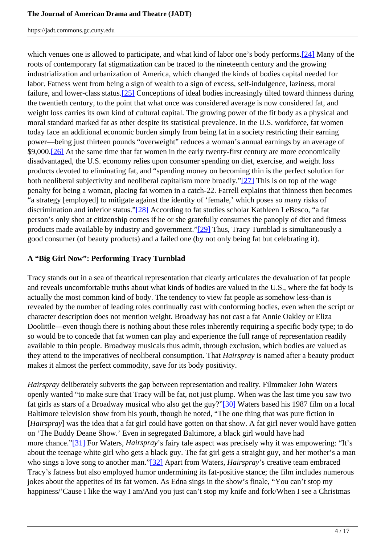which venues one is allowed to participate, and what kind of labor one's body performs.[24] Many of the roots of contemporary fat stigmatization can be traced to the nineteenth century and the growing industrialization and urbanization of America, which changed the kinds of bodies capital needed for labor. Fatness went from being a sign of wealth to a sign of excess, self-indulgence, laziness, moral failure, and lower-class status.[25] Conceptions of ideal bodies increasingly tilted toward thinness during the twentieth century, to the point that what once was considered average is now considered fat, and weight loss carries its own kind of cultural capital. The growing power of the fit body as a physical and moral standard marked fat as other despite its statistical prevalence. In the U.S. workforce, fat women today face an additional economic burden simply from being fat in a society restricting their earning power—being just thirteen pounds "overweight" reduces a woman's annual earnings by an average of \$9,000.[26] At the same time that fat women in the early twenty-first century are more economically disadvantaged, the U.S. economy relies upon consumer spending on diet, exercise, and weight loss products devoted to eliminating fat, and "spending money on becoming thin is the perfect solution for both neoliberal subjectivity and neoliberal capitalism more broadly."[27] This is on top of the wage penalty for being a woman, placing fat women in a catch-22. Farrell explains that thinness then becomes "a strategy [employed] to mitigate against the identity of 'female,' which poses so many risks of discrimination and inferior status."[28] According to fat studies scholar Kathleen LeBesco, "a fat person's only shot at citizenship comes if he or she gratefully consumes the panoply of diet and fitness products made available by industry and government."[29] Thus, Tracy Turnblad is simultaneously a good consumer (of beauty products) and a failed one (by not only being fat but celebrating it).

# **A "Big Girl Now": Performing Tracy Turnblad**

Tracy stands out in a sea of theatrical representation that clearly articulates the devaluation of fat people and reveals uncomfortable truths about what kinds of bodies are valued in the U.S., where the fat body is actually the most common kind of body. The tendency to view fat people as somehow less-than is revealed by the number of leading roles continually cast with conforming bodies, even when the script or character description does not mention weight. Broadway has not cast a fat Annie Oakley or Eliza Doolittle—even though there is nothing about these roles inherently requiring a specific body type; to do so would be to concede that fat women can play and experience the full range of representation readily available to thin people. Broadway musicals thus admit, through exclusion, which bodies are valued as they attend to the imperatives of neoliberal consumption. That *Hairspray* is named after a beauty product makes it almost the perfect commodity, save for its body positivity.

*Hairspray* deliberately subverts the gap between representation and reality. Filmmaker John Waters openly wanted "to make sure that Tracy will be fat, not just plump. When was the last time you saw two fat girls as stars of a Broadway musical who also get the guy?"[30] Waters based his 1987 film on a local Baltimore television show from his youth, though he noted, "The one thing that was pure fiction in [*Hairspray*] was the idea that a fat girl could have gotten on that show. A fat girl never would have gotten on 'The Buddy Deane Show.' Even in segregated Baltimore, a black girl would have had more chance."[31] For Waters, *Hairspray*'s fairy tale aspect was precisely why it was empowering: "It's about the teenage white girl who gets a black guy. The fat girl gets a straight guy, and her mother's a man who sings a love song to another man."[32] Apart from Waters, *Hairspray*'s creative team embraced Tracy's fatness but also employed humor undermining its fat-positive stance; the film includes numerous jokes about the appetites of its fat women. As Edna sings in the show's finale, "You can't stop my happiness/'Cause I like the way I am/And you just can't stop my knife and fork/When I see a Christmas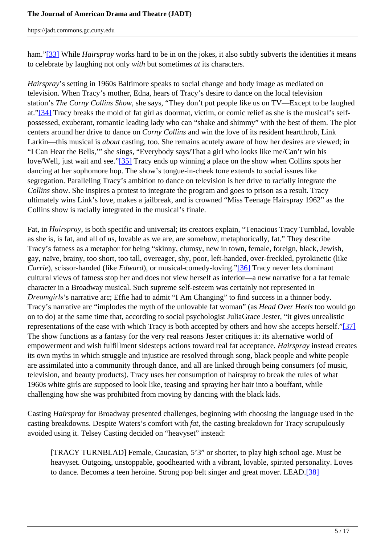ham."[33] While *Hairspray* works hard to be in on the jokes, it also subtly subverts the identities it means to celebrate by laughing not only *with* but sometimes *at* its characters.

*Hairspray*'s setting in 1960s Baltimore speaks to social change and body image as mediated on television. When Tracy's mother, Edna, hears of Tracy's desire to dance on the local television station's *The Corny Collins Show*, she says, "They don't put people like us on TV—Except to be laughed at."[34] Tracy breaks the mold of fat girl as doormat, victim, or comic relief as she is the musical's selfpossessed, exuberant, romantic leading lady who can "shake and shimmy" with the best of them. The plot centers around her drive to dance on *Corny Collins* and win the love of its resident heartthrob, Link Larkin—this musical is *about* casting, too. She remains acutely aware of how her desires are viewed; in "I Can Hear the Bells,'" she sings, "Everybody says/That a girl who looks like me/Can't win his love/Well, just wait and see."[35] Tracy ends up winning a place on the show when Collins spots her dancing at her sophomore hop. The show's tongue-in-cheek tone extends to social issues like segregation. Paralleling Tracy's ambition to dance on television is her drive to racially integrate the *Collins* show. She inspires a protest to integrate the program and goes to prison as a result. Tracy ultimately wins Link's love, makes a jailbreak, and is crowned "Miss Teenage Hairspray 1962" as the Collins show is racially integrated in the musical's finale.

Fat, in *Hairspray*, is both specific and universal; its creators explain, "Tenacious Tracy Turnblad, lovable as she is, is fat, and all of us, lovable as we are, are somehow, metaphorically, fat." They describe Tracy's fatness as a metaphor for being "skinny, clumsy, new in town, female, foreign, black, Jewish, gay, naïve, brainy, too short, too tall, overeager, shy, poor, left-handed, over-freckled, pyrokinetic (like *Carrie*), scissor-handed (like *Edward*), or musical-comedy-loving."[36] Tracy never lets dominant cultural views of fatness stop her and does not view herself as inferior—a new narrative for a fat female character in a Broadway musical. Such supreme self-esteem was certainly not represented in *Dreamgirls*'s narrative arc; Effie had to admit "I Am Changing" to find success in a thinner body. Tracy's narrative arc "implodes the myth of the unlovable fat woman" (as *Head Over Heels* too would go on to do) at the same time that, according to social psychologist JuliaGrace Jester, "it gives unrealistic representations of the ease with which Tracy is both accepted by others and how she accepts herself."[37] The show functions as a fantasy for the very real reasons Jester critiques it: its alternative world of empowerment and wish fulfillment sidesteps actions toward real fat acceptance. *Hairspray* instead creates its own myths in which struggle and injustice are resolved through song, black people and white people are assimilated into a community through dance, and all are linked through being consumers (of music, television, and beauty products). Tracy uses her consumption of hairspray to break the rules of what 1960s white girls are supposed to look like, teasing and spraying her hair into a bouffant, while challenging how she was prohibited from moving by dancing with the black kids.

Casting *Hairspray* for Broadway presented challenges, beginning with choosing the language used in the casting breakdowns. Despite Waters's comfort with *fat*, the casting breakdown for Tracy scrupulously avoided using it. Telsey Casting decided on "heavyset" instead:

[TRACY TURNBLAD] Female, Caucasian, 5'3" or shorter, to play high school age. Must be heavyset. Outgoing, unstoppable, goodhearted with a vibrant, lovable, spirited personality. Loves to dance. Becomes a teen heroine. Strong pop belt singer and great mover. LEAD.[38]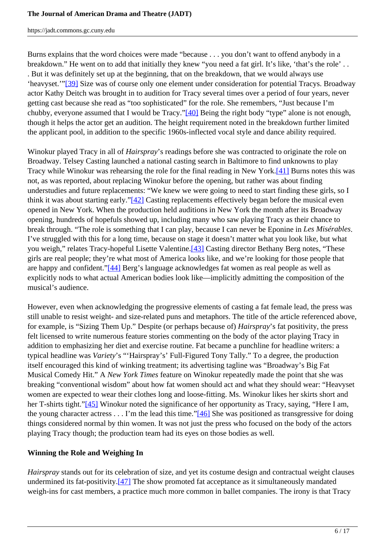Burns explains that the word choices were made "because . . . you don't want to offend anybody in a breakdown." He went on to add that initially they knew "you need a fat girl. It's like, 'that's the role' . . . But it was definitely set up at the beginning, that on the breakdown, that we would always use 'heavyset.'"[39] Size was of course only one element under consideration for potential Tracys. Broadway actor Kathy Deitch was brought in to audition for Tracy several times over a period of four years, never getting cast because she read as "too sophisticated" for the role. She remembers, "Just because I'm chubby, everyone assumed that I would be Tracy."[40] Being the right body "type" alone is not enough, though it helps the actor get an audition. The height requirement noted in the breakdown further limited the applicant pool, in addition to the specific 1960s-inflected vocal style and dance ability required.

Winokur played Tracy in all of *Hairspray*'s readings before she was contracted to originate the role on Broadway. Telsey Casting launched a national casting search in Baltimore to find unknowns to play Tracy while Winokur was rehearsing the role for the final reading in New York.[41] Burns notes this was not, as was reported, about replacing Winokur before the opening, but rather was about finding understudies and future replacements: "We knew we were going to need to start finding these girls, so I think it was about starting early."[42] Casting replacements effectively began before the musical even opened in New York. When the production held auditions in New York the month after its Broadway opening, hundreds of hopefuls showed up, including many who saw playing Tracy as their chance to break through. "The role is something that I can play, because I can never be Eponine in *Les Misérables*. I've struggled with this for a long time, because on stage it doesn't matter what you look like, but what you weigh," relates Tracy-hopeful Lisette Valentine.<sup>[43]</sup> Casting director Bethany Berg notes, "These girls are real people; they're what most of America looks like, and we're looking for those people that are happy and confident."[44] Berg's language acknowledges fat women as real people as well as explicitly nods to what actual American bodies look like—implicitly admitting the composition of the musical's audience.

However, even when acknowledging the progressive elements of casting a fat female lead, the press was still unable to resist weight- and size-related puns and metaphors. The title of the article referenced above, for example, is "Sizing Them Up." Despite (or perhaps because of) *Hairspray*'s fat positivity, the press felt licensed to write numerous feature stories commenting on the body of the actor playing Tracy in addition to emphasizing her diet and exercise routine. Fat became a punchline for headline writers: a typical headline was *Variety*'s "'Hairspray's' Full-Figured Tony Tally." To a degree, the production itself encouraged this kind of winking treatment; its advertising tagline was "Broadway's Big Fat Musical Comedy Hit." A *New York Times* feature on Winokur repeatedly made the point that she was breaking "conventional wisdom" about how fat women should act and what they should wear: "Heavyset women are expected to wear their clothes long and loose-fitting. Ms. Winokur likes her skirts short and her T-shirts tight."[45] Winokur noted the significance of her opportunity as Tracy, saying, "Here I am, the young character actress . . . I'm the lead this time."[46] She was positioned as transgressive for doing things considered normal by thin women. It was not just the press who focused on the body of the actors playing Tracy though; the production team had its eyes on those bodies as well.

## **Winning the Role and Weighing In**

*Hairspray* stands out for its celebration of size, and yet its costume design and contractual weight clauses undermined its fat-positivity.[47] The show promoted fat acceptance as it simultaneously mandated weigh-ins for cast members, a practice much more common in ballet companies. The irony is that Tracy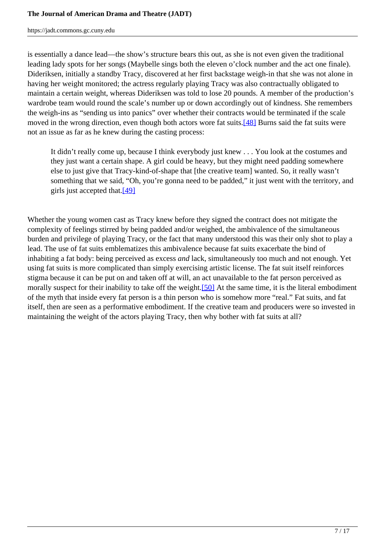is essentially a dance lead—the show's structure bears this out, as she is not even given the traditional leading lady spots for her songs (Maybelle sings both the eleven o'clock number and the act one finale). Dideriksen, initially a standby Tracy, discovered at her first backstage weigh-in that she was not alone in having her weight monitored; the actress regularly playing Tracy was also contractually obligated to maintain a certain weight, whereas Dideriksen was told to lose 20 pounds. A member of the production's wardrobe team would round the scale's number up or down accordingly out of kindness. She remembers the weigh-ins as "sending us into panics" over whether their contracts would be terminated if the scale moved in the wrong direction, even though both actors wore fat suits.<sup>[48]</sup> Burns said the fat suits were not an issue as far as he knew during the casting process:

It didn't really come up, because I think everybody just knew . . . You look at the costumes and they just want a certain shape. A girl could be heavy, but they might need padding somewhere else to just give that Tracy-kind-of-shape that [the creative team] wanted. So, it really wasn't something that we said, "Oh, you're gonna need to be padded," it just went with the territory, and girls just accepted that. $[49]$ 

Whether the young women cast as Tracy knew before they signed the contract does not mitigate the complexity of feelings stirred by being padded and/or weighed, the ambivalence of the simultaneous burden and privilege of playing Tracy, or the fact that many understood this was their only shot to play a lead. The use of fat suits emblematizes this ambivalence because fat suits exacerbate the bind of inhabiting a fat body: being perceived as excess *and* lack, simultaneously too much and not enough. Yet using fat suits is more complicated than simply exercising artistic license. The fat suit itself reinforces stigma because it can be put on and taken off at will, an act unavailable to the fat person perceived as morally suspect for their inability to take off the weight.[50] At the same time, it is the literal embodiment of the myth that inside every fat person is a thin person who is somehow more "real." Fat suits, and fat itself, then are seen as a performative embodiment. If the creative team and producers were so invested in maintaining the weight of the actors playing Tracy, then why bother with fat suits at all?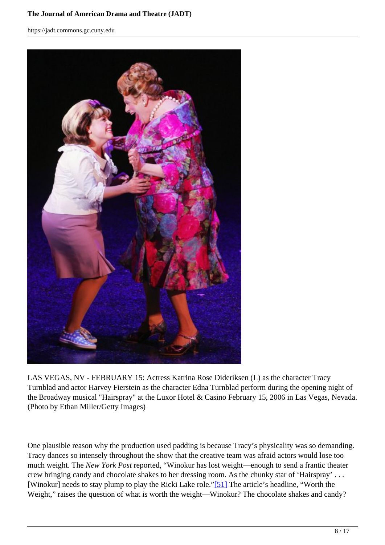#### **The Journal of American Drama and Theatre (JADT)**

https://jadt.commons.gc.cuny.edu



LAS VEGAS, NV - FEBRUARY 15: Actress Katrina Rose Dideriksen (L) as the character Tracy Turnblad and actor Harvey Fierstein as the character Edna Turnblad perform during the opening night of the Broadway musical "Hairspray" at the Luxor Hotel & Casino February 15, 2006 in Las Vegas, Nevada. (Photo by Ethan Miller/Getty Images)

One plausible reason why the production used padding is because Tracy's physicality was so demanding. Tracy dances so intensely throughout the show that the creative team was afraid actors would lose too much weight. The *New York Post* reported, "Winokur has lost weight—enough to send a frantic theater crew bringing candy and chocolate shakes to her dressing room. As the chunky star of 'Hairspray' . . . [Winokur] needs to stay plump to play the Ricki Lake role."[51] The article's headline, "Worth the Weight," raises the question of what is worth the weight—Winokur? The chocolate shakes and candy?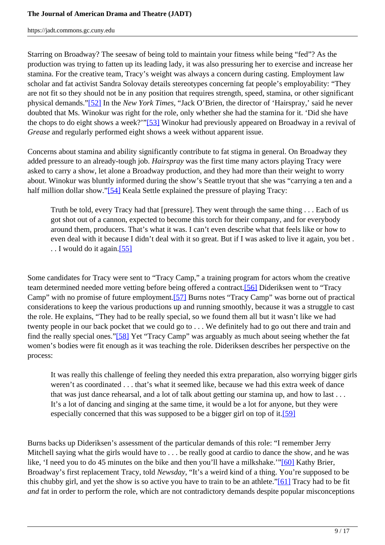Starring on Broadway? The seesaw of being told to maintain your fitness while being "fed"? As the production was trying to fatten up its leading lady, it was also pressuring her to exercise and increase her stamina. For the creative team, Tracy's weight was always a concern during casting. Employment law scholar and fat activist Sandra Solovay details stereotypes concerning fat people's employability: "They are not fit so they should not be in any position that requires strength, speed, stamina, or other significant physical demands."[52] In the *New York Times*, "Jack O'Brien, the director of 'Hairspray,' said he never doubted that Ms. Winokur was right for the role, only whether she had the stamina for it. 'Did she have the chops to do eight shows a week?'"[53] Winokur had previously appeared on Broadway in a revival of *Grease* and regularly performed eight shows a week without apparent issue.

Concerns about stamina and ability significantly contribute to fat stigma in general. On Broadway they added pressure to an already-tough job. *Hairspray* was the first time many actors playing Tracy were asked to carry a show, let alone a Broadway production, and they had more than their weight to worry about. Winokur was bluntly informed during the show's Seattle tryout that she was "carrying a ten and a half million dollar show."[54] Keala Settle explained the pressure of playing Tracy:

Truth be told, every Tracy had that [pressure]. They went through the same thing . . . Each of us got shot out of a cannon, expected to become this torch for their company, and for everybody around them, producers. That's what it was. I can't even describe what that feels like or how to even deal with it because I didn't deal with it so great. But if I was asked to live it again, you bet . . . I would do it again.[55]

Some candidates for Tracy were sent to "Tracy Camp," a training program for actors whom the creative team determined needed more vetting before being offered a contract.[56] Dideriksen went to "Tracy Camp" with no promise of future employment.[57] Burns notes "Tracy Camp" was borne out of practical considerations to keep the various productions up and running smoothly, because it was a struggle to cast the role. He explains, "They had to be really special, so we found them all but it wasn't like we had twenty people in our back pocket that we could go to . . . We definitely had to go out there and train and find the really special ones."[58] Yet "Tracy Camp" was arguably as much about seeing whether the fat women's bodies were fit enough as it was teaching the role. Dideriksen describes her perspective on the process:

It was really this challenge of feeling they needed this extra preparation, also worrying bigger girls weren't as coordinated . . . that's what it seemed like, because we had this extra week of dance that was just dance rehearsal, and a lot of talk about getting our stamina up, and how to last . . . It's a lot of dancing and singing at the same time, it would be a lot for anyone, but they were especially concerned that this was supposed to be a bigger girl on top of it.[59]

Burns backs up Dideriksen's assessment of the particular demands of this role: "I remember Jerry Mitchell saying what the girls would have to . . . be really good at cardio to dance the show, and he was like, 'I need you to do 45 minutes on the bike and then you'll have a milkshake.'"[60] Kathy Brier, Broadway's first replacement Tracy, told *Newsday*, "It's a weird kind of a thing. You're supposed to be this chubby girl, and yet the show is so active you have to train to be an athlete."[61] Tracy had to be fit *and* fat in order to perform the role, which are not contradictory demands despite popular misconceptions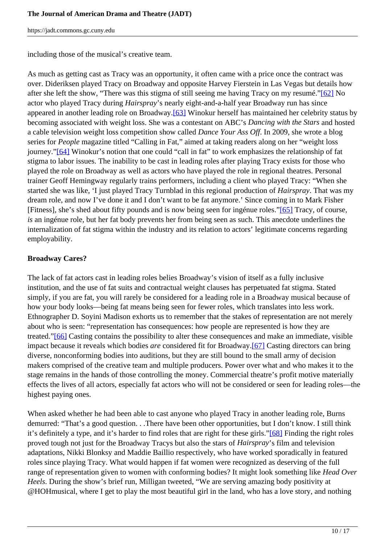including those of the musical's creative team.

As much as getting cast as Tracy was an opportunity, it often came with a price once the contract was over. Dideriksen played Tracy on Broadway and opposite Harvey Fierstein in Las Vegas but details how after she left the show, "There was this stigma of still seeing me having Tracy on my resumé."[62] No actor who played Tracy during *Hairspray*'s nearly eight-and-a-half year Broadway run has since appeared in another leading role on Broadway.[63] Winokur herself has maintained her celebrity status by becoming associated with weight loss. She was a contestant on ABC's *Dancing with the Stars* and hosted a cable television weight loss competition show called *Dance Your Ass Off*. In 2009, she wrote a blog series for *People* magazine titled "Calling in Fat," aimed at taking readers along on her "weight loss journey."[64] Winokur's notion that one could "call in fat" to work emphasizes the relationship of fat stigma to labor issues. The inability to be cast in leading roles after playing Tracy exists for those who played the role on Broadway as well as actors who have played the role in regional theatres. Personal trainer Geoff Hemingway regularly trains performers, including a client who played Tracy: "When she started she was like, 'I just played Tracy Turnblad in this regional production of *Hairspray*. That was my dream role, and now I've done it and I don't want to be fat anymore.' Since coming in to Mark Fisher [Fitness], she's shed about fifty pounds and is now being seen for ingénue roles."[65] Tracy, of course, *is* an ingénue role, but her fat body prevents her from being seen as such. This anecdote underlines the internalization of fat stigma within the industry and its relation to actors' legitimate concerns regarding employability.

#### **Broadway Cares?**

The lack of fat actors cast in leading roles belies Broadway's vision of itself as a fully inclusive institution, and the use of fat suits and contractual weight clauses has perpetuated fat stigma. Stated simply, if you are fat, you will rarely be considered for a leading role in a Broadway musical because of how your body looks—being fat means being seen for fewer roles, which translates into less work. Ethnographer D. Soyini Madison exhorts us to remember that the stakes of representation are not merely about who is seen: "representation has consequences: how people are represented is how they are treated."[66] Casting contains the possibility to alter these consequences and make an immediate, visible impact because it reveals which bodies *are* considered fit for Broadway.[67] Casting directors can bring diverse, nonconforming bodies into auditions, but they are still bound to the small army of decision makers comprised of the creative team and multiple producers. Power over what and who makes it to the stage remains in the hands of those controlling the money. Commercial theatre's profit motive materially effects the lives of all actors, especially fat actors who will not be considered or seen for leading roles—the highest paying ones.

When asked whether he had been able to cast anyone who played Tracy in another leading role, Burns demurred: "That's a good question. . .There have been other opportunities, but I don't know. I still think it's definitely a type, and it's harder to find roles that are right for these girls."[68] Finding the right roles proved tough not just for the Broadway Tracys but also the stars of *Hairspray*'s film and television adaptations, Nikki Blonksy and Maddie Baillio respectively, who have worked sporadically in featured roles since playing Tracy. What would happen if fat women were recognized as deserving of the full range of representation given to women with conforming bodies? It might look something like *Head Over Heels*. During the show's brief run, Milligan tweeted, "We are serving amazing body positivity at @HOHmusical, where I get to play the most beautiful girl in the land, who has a love story, and nothing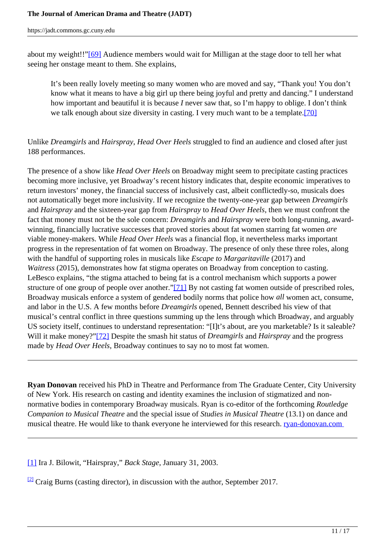about my weight!!"[69] Audience members would wait for Milligan at the stage door to tell her what seeing her onstage meant to them. She explains,

It's been really lovely meeting so many women who are moved and say, "Thank you! You don't know what it means to have a big girl up there being joyful and pretty and dancing." I understand how important and beautiful it is because *I* never saw that, so I'm happy to oblige. I don't think we talk enough about size diversity in casting. I very much want to be a template.[70]

# Unlike *Dreamgirls* and *Hairspray*, *Head Over Heels* struggled to find an audience and closed after just 188 performances.

The presence of a show like *Head Over Heels* on Broadway might seem to precipitate casting practices becoming more inclusive, yet Broadway's recent history indicates that, despite economic imperatives to return investors' money, the financial success of inclusively cast, albeit conflictedly-so, musicals does not automatically beget more inclusivity. If we recognize the twenty-one-year gap between *Dreamgirls* and *Hairspray* and the sixteen-year gap from *Hairspray* to *Head Over Heels*, then we must confront the fact that money must not be the sole concern: *Dreamgirls* and *Hairspray* were both long-running, awardwinning, financially lucrative successes that proved stories about fat women starring fat women *are* viable money-makers. While *Head Over Heels* was a financial flop, it nevertheless marks important progress in the representation of fat women on Broadway. The presence of only these three roles, along with the handful of supporting roles in musicals like *Escape to Margaritaville* (2017) and *Waitress* (2015), demonstrates how fat stigma operates on Broadway from conception to casting. LeBesco explains, "the stigma attached to being fat is a control mechanism which supports a power structure of one group of people over another."[71] By not casting fat women outside of prescribed roles, Broadway musicals enforce a system of gendered bodily norms that police how *all* women act, consume, and labor in the U.S. A few months before *Dreamgirls* opened, Bennett described his view of that musical's central conflict in three questions summing up the lens through which Broadway, and arguably US society itself, continues to understand representation: "[I]t's about, are you marketable? Is it saleable? Will it make money?"[72] Despite the smash hit status of *Dreamgirls* and *Hairspray* and the progress made by *Head Over Heels*, Broadway continues to say no to most fat women.

**Ryan Donovan** received his PhD in Theatre and Performance from The Graduate Center, City University of New York. His research on casting and identity examines the inclusion of stigmatized and nonnormative bodies in contemporary Broadway musicals. Ryan is co-editor of the forthcoming *Routledge Companion to Musical Theatre* and the special issue of *Studies in Musical Theatre* (13.1) on dance and musical theatre. He would like to thank everyone he interviewed for this research. **ryan-donovan.com** 

[1] Ira J. Bilowit, "Hairspray," *Back Stage*, January 31, 2003.

 $\frac{[2]}{[2]}$  Craig Burns (casting director), in discussion with the author, September 2017.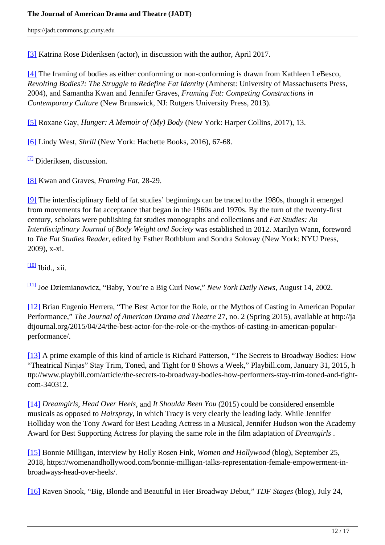[3] Katrina Rose Dideriksen (actor), in discussion with the author, April 2017.

[4] The framing of bodies as either conforming or non-conforming is drawn from Kathleen LeBesco, *Revolting Bodies?: The Struggle to Redefine Fat Identity* (Amherst: University of Massachusetts Press, 2004), and Samantha Kwan and Jennifer Graves, *Framing Fat: Competing Constructions in Contemporary Culture* (New Brunswick, NJ: Rutgers University Press, 2013).

[5] Roxane Gay, *Hunger: A Memoir of (My) Body* (New York: Harper Collins, 2017), 13.

[6] Lindy West, *Shrill* (New York: Hachette Books, 2016), 67-68.

 $\frac{[7]}{[7]}$  Dideriksen, discussion.

[8] Kwan and Graves, *Framing Fat*, 28-29.

[9] The interdisciplinary field of fat studies' beginnings can be traced to the 1980s, though it emerged from movements for fat acceptance that began in the 1960s and 1970s. By the turn of the twenty-first century, scholars were publishing fat studies monographs and collections and *Fat Studies: An Interdisciplinary Journal of Body Weight and Society* was established in 2012. Marilyn Wann, foreword to *The Fat Studies Reader*, edited by Esther Rothblum and Sondra Solovay (New York: NYU Press, 2009), x-xi.

 $\frac{100}{100}$  Ibid., xii.

[11] Joe Dziemianowicz, "Baby, You're a Big Curl Now," *New York Daily News*, August 14, 2002.

[12] Brian Eugenio Herrera, "The Best Actor for the Role, or the Mythos of Casting in American Popular Performance," *The Journal of American Drama and Theatre* 27, no. 2 (Spring 2015), available at http://ja dtjournal.org/2015/04/24/the-best-actor-for-the-role-or-the-mythos-of-casting-in-american-popularperformance/.

[13] A prime example of this kind of article is Richard Patterson, "The Secrets to Broadway Bodies: How "Theatrical Ninjas" Stay Trim, Toned, and Tight for 8 Shows a Week," Playbill.com, January 31, 2015, h ttp://www.playbill.com/article/the-secrets-to-broadway-bodies-how-performers-stay-trim-toned-and-tightcom-340312.

[14] *Dreamgirls*, *Head Over Heels*, and *It Shoulda Been You* (2015) could be considered ensemble musicals as opposed to *Hairspray*, in which Tracy is very clearly the leading lady. While Jennifer Holliday won the Tony Award for Best Leading Actress in a Musical, Jennifer Hudson won the Academy Award for Best Supporting Actress for playing the same role in the film adaptation of *Dreamgirls* .

[15] Bonnie Milligan, interview by Holly Rosen Fink, *Women and Hollywood* (blog), September 25, 2018, https://womenandhollywood.com/bonnie-milligan-talks-representation-female-empowerment-inbroadways-head-over-heels/.

[16] Raven Snook, "Big, Blonde and Beautiful in Her Broadway Debut," *TDF Stages* (blog), July 24,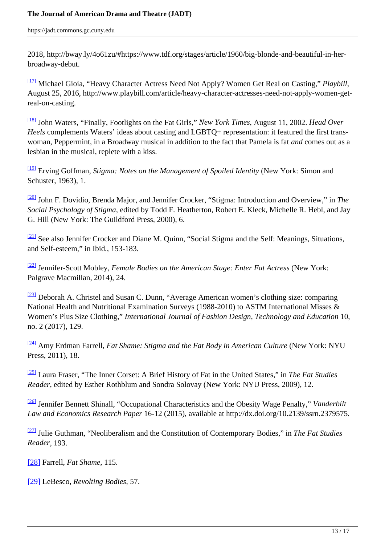2018, http://bway.ly/4o61zu/#https://www.tdf.org/stages/article/1960/big-blonde-and-beautiful-in-herbroadway-debut.

[17] Michael Gioia, "Heavy Character Actress Need Not Apply? Women Get Real on Casting," *Playbill*, August 25, 2016, http://www.playbill.com/article/heavy-character-actresses-need-not-apply-women-getreal-on-casting.

[18] John Waters, "Finally, Footlights on the Fat Girls," *New York Times*, August 11, 2002. *Head Over Heels* complements Waters' ideas about casting and LGBTQ+ representation: it featured the first transwoman, Peppermint, in a Broadway musical in addition to the fact that Pamela is fat *and* comes out as a lesbian in the musical, replete with a kiss.

[19] Erving Goffman, *Stigma: Notes on the Management of Spoiled Identity* (New York: Simon and Schuster, 1963), 1.

[20] John F. Dovidio, Brenda Major, and Jennifer Crocker, "Stigma: Introduction and Overview," in *The Social Psychology of Stigma*, edited by Todd F. Heatherton, Robert E. Kleck, Michelle R. Hebl, and Jay G. Hill (New York: The Guildford Press, 2000), 6.

<sup>[21]</sup> See also Jennifer Crocker and Diane M. Quinn, "Social Stigma and the Self: Meanings, Situations, and Self-esteem," in Ibid*.*, 153-183.

[22] Jennifer-Scott Mobley, *Female Bodies on the American Stage: Enter Fat Actress* (New York: Palgrave Macmillan, 2014), 24.

 $\frac{[23]}{[23]}$  Deborah A. Christel and Susan C. Dunn, "Average American women's clothing size: comparing National Health and Nutritional Examination Surveys (1988-2010) to ASTM International Misses & Women's Plus Size Clothing," *International Journal of Fashion Design, Technology and Education* 10, no. 2 (2017), 129.

[24] Amy Erdman Farrell, *Fat Shame: Stigma and the Fat Body in American Culture* (New York: NYU Press, 2011), 18.

[25] Laura Fraser, "The Inner Corset: A Brief History of Fat in the United States," in *The Fat Studies Reader*, edited by Esther Rothblum and Sondra Solovay (New York: NYU Press, 2009), 12.

[26] Jennifer Bennett Shinall, "Occupational Characteristics and the Obesity Wage Penalty," *Vanderbilt Law and Economics Research Paper* 16-12 (2015), available at http://dx.doi.org/10.2139/ssrn.2379575.

[27] Julie Guthman, "Neoliberalism and the Constitution of Contemporary Bodies," in *The Fat Studies Reader*, 193.

[28] Farrell, *Fat Shame*, 115.

[29] LeBesco, *Revolting Bodies*, 57.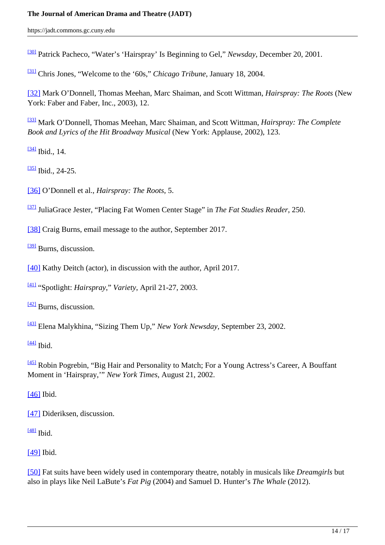## **The Journal of American Drama and Theatre (JADT)**

https://jadt.commons.gc.cuny.edu

[30] Patrick Pacheco, "Water's 'Hairspray' Is Beginning to Gel," *Newsday*, December 20, 2001.

[31] Chris Jones, "Welcome to the '60s," *Chicago Tribune*, January 18, 2004.

[32] Mark O'Donnell, Thomas Meehan, Marc Shaiman, and Scott Wittman, *Hairspray: The Roots* (New York: Faber and Faber, Inc., 2003), 12.

[33] Mark O'Donnell, Thomas Meehan, Marc Shaiman, and Scott Wittman, *Hairspray: The Complete Book and Lyrics of the Hit Broadway Musical* (New York: Applause, 2002), 123.

 $\frac{[34]}{[16]}$  Ibid., 14.

 $\frac{[35]}{[61]}$  Ibid., 24-25.

[36] O'Donnell et al., *Hairspray: The Roots*, 5.

[37] JuliaGrace Jester, "Placing Fat Women Center Stage" in *The Fat Studies Reader*, 250.

[38] Craig Burns, email message to the author, September 2017.

<sup>[39]</sup> Burns, discussion.

[40] Kathy Deitch (actor), in discussion with the author, April 2017.

[41] "Spotlight: *Hairspray*," *Variety*, April 21-27, 2003.

 $\frac{[42]}{2}$  Burns, discussion.

[43] Elena Malykhina, "Sizing Them Up," *New York Newsday*, September 23, 2002.

 $[44]$  Ibid.

[45] Robin Pogrebin, "Big Hair and Personality to Match; For a Young Actress's Career, A Bouffant Moment in 'Hairspray,'" *New York Times*, August 21, 2002.

[46] Ibid.

[47] Dideriksen, discussion.

 $[48]$  Ibid.

[49] Ibid.

[50] Fat suits have been widely used in contemporary theatre, notably in musicals like *Dreamgirls* but also in plays like Neil LaBute's *Fat Pig* (2004) and Samuel D. Hunter's *The Whale* (2012).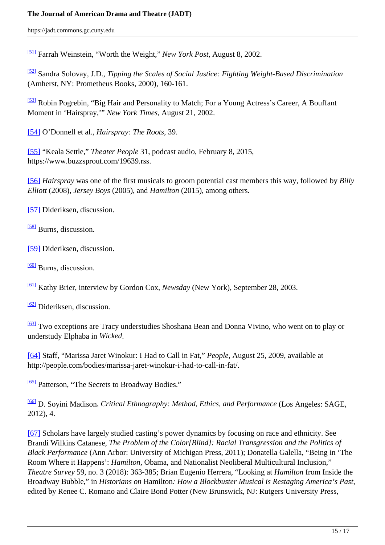#### **The Journal of American Drama and Theatre (JADT)**

https://jadt.commons.gc.cuny.edu

[51] Farrah Weinstein, "Worth the Weight," *New York Post*, August 8, 2002.

[52] Sandra Solovay, J.D., *Tipping the Scales of Social Justice: Fighting Weight-Based Discrimination* (Amherst, NY: Prometheus Books, 2000), 160-161.

[53] Robin Pogrebin, "Big Hair and Personality to Match; For a Young Actress's Career, A Bouffant Moment in 'Hairspray,'" *New York Times*, August 21, 2002.

[54] O'Donnell et al., *Hairspray: The Roots*, 39.

[55] "Keala Settle," *Theater People* 31, podcast audio, February 8, 2015, https://www.buzzsprout.com/19639.rss.

[56] *Hairspray* was one of the first musicals to groom potential cast members this way, followed by *Billy Elliott* (2008), *Jersey Boys* (2005), and *Hamilton* (2015), among others.

[57] Dideriksen, discussion.

[58] Burns, discussion.

[59] Dideriksen, discussion.

[60] Burns, discussion.

[61] Kathy Brier, interview by Gordon Cox, *Newsday* (New York), September 28, 2003.

[62] Dideriksen, discussion.

[63] Two exceptions are Tracy understudies Shoshana Bean and Donna Vivino, who went on to play or understudy Elphaba in *Wicked*.

[64] Staff, "Marissa Jaret Winokur: I Had to Call in Fat," *People*, August 25, 2009, available at http://people.com/bodies/marissa-jaret-winokur-i-had-to-call-in-fat/.

[65] Patterson, "The Secrets to Broadway Bodies."

[66] D. Soyini Madison*, Critical Ethnography: Method, Ethics, and Performance* (Los Angeles: SAGE, 2012), 4.

[67] Scholars have largely studied casting's power dynamics by focusing on race and ethnicity. See Brandi Wilkins Catanese, *The Problem of the Color[Blind]: Racial Transgression and the Politics of Black Performance* (Ann Arbor: University of Michigan Press, 2011); Donatella Galella, "Being in 'The Room Where it Happens': *Hamilton*, Obama, and Nationalist Neoliberal Multicultural Inclusion," *Theatre Survey* 59, no. 3 (2018): 363-385; Brian Eugenio Herrera, "Looking at *Hamilton* from Inside the Broadway Bubble," in *Historians on* Hamilton*: How a Blockbuster Musical is Restaging America's Past*, edited by Renee C. Romano and Claire Bond Potter (New Brunswick, NJ: Rutgers University Press,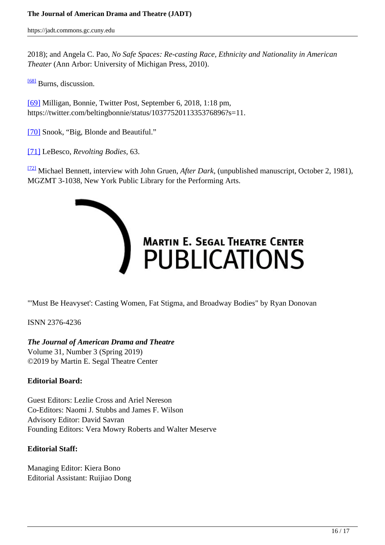2018); and Angela C. Pao, *No Safe Spaces: Re-casting Race, Ethnicity and Nationality in American Theater* (Ann Arbor: University of Michigan Press, 2010).

<sup>[68]</sup> Burns, discussion.

[69] Milligan, Bonnie, Twitter Post, September 6, 2018, 1:18 pm, https://twitter.com/beltingbonnie/status/1037752011335376896?s=11.

[70] Snook, "Big, Blonde and Beautiful."

[71] LeBesco, *Revolting Bodies*, 63.

[72] Michael Bennett, interview with John Gruen, *After Dark*, (unpublished manuscript, October 2, 1981), MGZMT 3-1038, New York Public Library for the Performing Arts.



"'Must Be Heavyset': Casting Women, Fat Stigma, and Broadway Bodies" by Ryan Donovan

ISNN 2376-4236

# *The Journal of American Drama and Theatre*

Volume 31, Number 3 (Spring 2019) ©2019 by Martin E. Segal Theatre Center

## **Editorial Board:**

Guest Editors: Lezlie Cross and Ariel Nereson Co-Editors: Naomi J. Stubbs and James F. Wilson Advisory Editor: David Savran Founding Editors: Vera Mowry Roberts and Walter Meserve

#### **Editorial Staff:**

Managing Editor: Kiera Bono Editorial Assistant: Ruijiao Dong